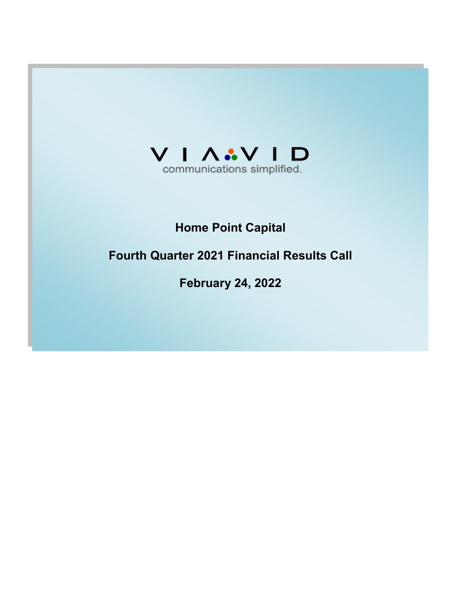

# **Home Point Capital**

# **Fourth Quarter 2021 Financial Results Call**

**February 24, 2022**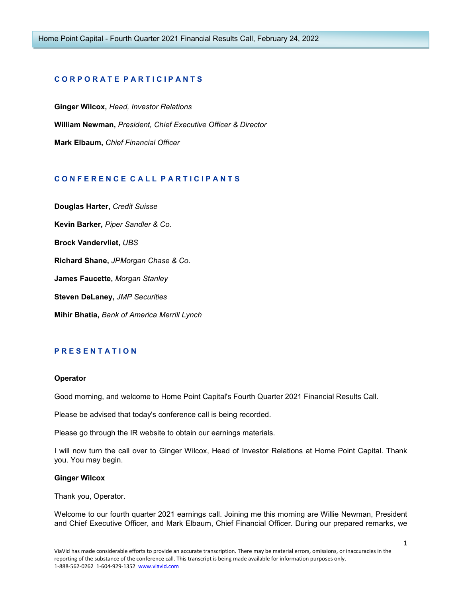# **C O R P O R A T E P A R T I C I P A N T S**

**Ginger Wilcox,** *Head, Investor Relations*  **William Newman,** *President, Chief Executive Officer & Director*  **Mark Elbaum,** *Chief Financial Officer* 

# **C O N F E R E N C E C A L L P A R T I C I P A N T S**

**Douglas Harter,** *Credit Suisse*  **Kevin Barker,** *Piper Sandler & Co.*  **Brock Vandervliet,** *UBS*  **Richard Shane,** *JPMorgan Chase & Co.*  **James Faucette,** *Morgan Stanley*  **Steven DeLaney,** *JMP Securities*  **Mihir Bhatia,** *Bank of America Merrill Lynch* 

# **P R E S E N T A T I O N**

## **Operator**

Good morning, and welcome to Home Point Capital's Fourth Quarter 2021 Financial Results Call.

Please be advised that today's conference call is being recorded.

Please go through the IR website to obtain our earnings materials.

I will now turn the call over to Ginger Wilcox, Head of Investor Relations at Home Point Capital. Thank you. You may begin.

## **Ginger Wilcox**

Thank you, Operator.

Welcome to our fourth quarter 2021 earnings call. Joining me this morning are Willie Newman, President and Chief Executive Officer, and Mark Elbaum, Chief Financial Officer. During our prepared remarks, we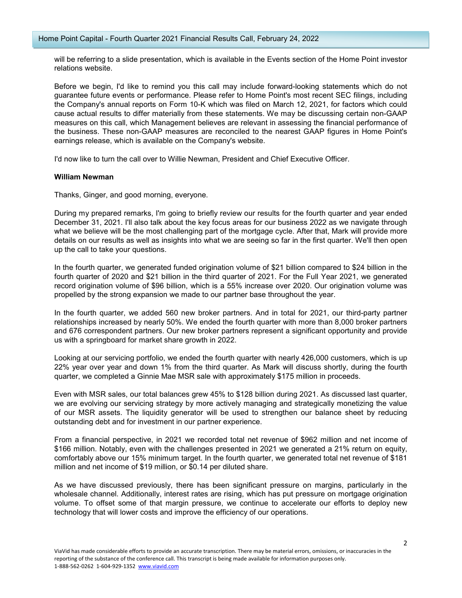will be referring to a slide presentation, which is available in the Events section of the Home Point investor relations website.

Before we begin, I'd like to remind you this call may include forward-looking statements which do not guarantee future events or performance. Please refer to Home Point's most recent SEC filings, including the Company's annual reports on Form 10-K which was filed on March 12, 2021, for factors which could cause actual results to differ materially from these statements. We may be discussing certain non-GAAP measures on this call, which Management believes are relevant in assessing the financial performance of the business. These non-GAAP measures are reconciled to the nearest GAAP figures in Home Point's earnings release, which is available on the Company's website.

I'd now like to turn the call over to Willie Newman, President and Chief Executive Officer.

## **William Newman**

Thanks, Ginger, and good morning, everyone.

During my prepared remarks, I'm going to briefly review our results for the fourth quarter and year ended December 31, 2021. I'll also talk about the key focus areas for our business 2022 as we navigate through what we believe will be the most challenging part of the mortgage cycle. After that, Mark will provide more details on our results as well as insights into what we are seeing so far in the first quarter. We'll then open up the call to take your questions.

In the fourth quarter, we generated funded origination volume of \$21 billion compared to \$24 billion in the fourth quarter of 2020 and \$21 billion in the third quarter of 2021. For the Full Year 2021, we generated record origination volume of \$96 billion, which is a 55% increase over 2020. Our origination volume was propelled by the strong expansion we made to our partner base throughout the year.

In the fourth quarter, we added 560 new broker partners. And in total for 2021, our third-party partner relationships increased by nearly 50%. We ended the fourth quarter with more than 8,000 broker partners and 676 correspondent partners. Our new broker partners represent a significant opportunity and provide us with a springboard for market share growth in 2022.

Looking at our servicing portfolio, we ended the fourth quarter with nearly 426,000 customers, which is up 22% year over year and down 1% from the third quarter. As Mark will discuss shortly, during the fourth quarter, we completed a Ginnie Mae MSR sale with approximately \$175 million in proceeds.

Even with MSR sales, our total balances grew 45% to \$128 billion during 2021. As discussed last quarter, we are evolving our servicing strategy by more actively managing and strategically monetizing the value of our MSR assets. The liquidity generator will be used to strengthen our balance sheet by reducing outstanding debt and for investment in our partner experience.

From a financial perspective, in 2021 we recorded total net revenue of \$962 million and net income of \$166 million. Notably, even with the challenges presented in 2021 we generated a 21% return on equity, comfortably above our 15% minimum target. In the fourth quarter, we generated total net revenue of \$181 million and net income of \$19 million, or \$0.14 per diluted share.

As we have discussed previously, there has been significant pressure on margins, particularly in the wholesale channel. Additionally, interest rates are rising, which has put pressure on mortgage origination volume. To offset some of that margin pressure, we continue to accelerate our efforts to deploy new technology that will lower costs and improve the efficiency of our operations.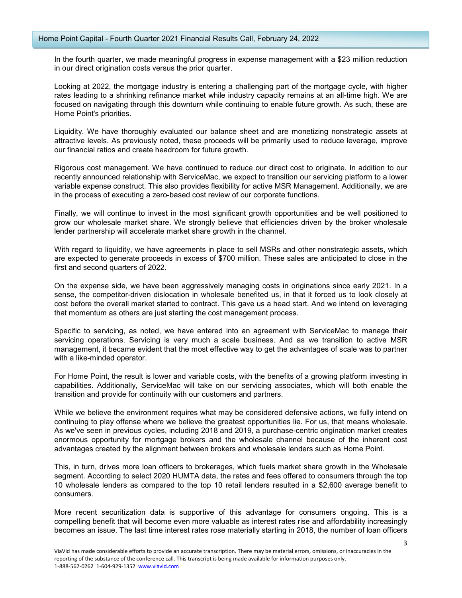In the fourth quarter, we made meaningful progress in expense management with a \$23 million reduction in our direct origination costs versus the prior quarter.

Looking at 2022, the mortgage industry is entering a challenging part of the mortgage cycle, with higher rates leading to a shrinking refinance market while industry capacity remains at an all-time high. We are focused on navigating through this downturn while continuing to enable future growth. As such, these are Home Point's priorities.

Liquidity. We have thoroughly evaluated our balance sheet and are monetizing nonstrategic assets at attractive levels. As previously noted, these proceeds will be primarily used to reduce leverage, improve our financial ratios and create headroom for future growth.

Rigorous cost management. We have continued to reduce our direct cost to originate. In addition to our recently announced relationship with ServiceMac, we expect to transition our servicing platform to a lower variable expense construct. This also provides flexibility for active MSR Management. Additionally, we are in the process of executing a zero-based cost review of our corporate functions.

Finally, we will continue to invest in the most significant growth opportunities and be well positioned to grow our wholesale market share. We strongly believe that efficiencies driven by the broker wholesale lender partnership will accelerate market share growth in the channel.

With regard to liquidity, we have agreements in place to sell MSRs and other nonstrategic assets, which are expected to generate proceeds in excess of \$700 million. These sales are anticipated to close in the first and second quarters of 2022.

On the expense side, we have been aggressively managing costs in originations since early 2021. In a sense, the competitor-driven dislocation in wholesale benefited us, in that it forced us to look closely at cost before the overall market started to contract. This gave us a head start. And we intend on leveraging that momentum as others are just starting the cost management process.

Specific to servicing, as noted, we have entered into an agreement with ServiceMac to manage their servicing operations. Servicing is very much a scale business. And as we transition to active MSR management, it became evident that the most effective way to get the advantages of scale was to partner with a like-minded operator.

For Home Point, the result is lower and variable costs, with the benefits of a growing platform investing in capabilities. Additionally, ServiceMac will take on our servicing associates, which will both enable the transition and provide for continuity with our customers and partners.

While we believe the environment requires what may be considered defensive actions, we fully intend on continuing to play offense where we believe the greatest opportunities lie. For us, that means wholesale. As we've seen in previous cycles, including 2018 and 2019, a purchase-centric origination market creates enormous opportunity for mortgage brokers and the wholesale channel because of the inherent cost advantages created by the alignment between brokers and wholesale lenders such as Home Point.

This, in turn, drives more loan officers to brokerages, which fuels market share growth in the Wholesale segment. According to select 2020 HUMTA data, the rates and fees offered to consumers through the top 10 wholesale lenders as compared to the top 10 retail lenders resulted in a \$2,600 average benefit to consumers.

More recent securitization data is supportive of this advantage for consumers ongoing. This is a compelling benefit that will become even more valuable as interest rates rise and affordability increasingly becomes an issue. The last time interest rates rose materially starting in 2018, the number of loan officers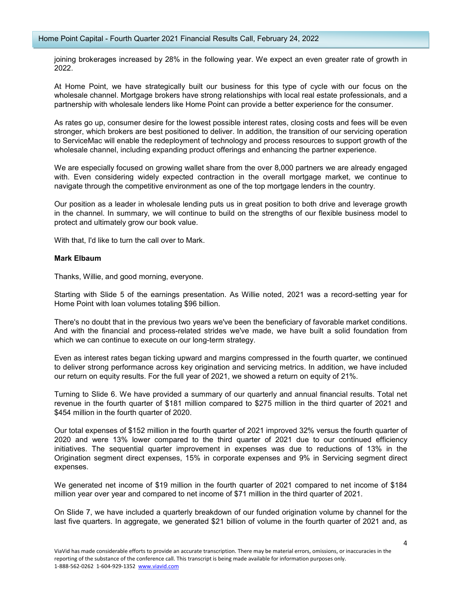joining brokerages increased by 28% in the following year. We expect an even greater rate of growth in 2022.

At Home Point, we have strategically built our business for this type of cycle with our focus on the wholesale channel. Mortgage brokers have strong relationships with local real estate professionals, and a partnership with wholesale lenders like Home Point can provide a better experience for the consumer.

As rates go up, consumer desire for the lowest possible interest rates, closing costs and fees will be even stronger, which brokers are best positioned to deliver. In addition, the transition of our servicing operation to ServiceMac will enable the redeployment of technology and process resources to support growth of the wholesale channel, including expanding product offerings and enhancing the partner experience.

We are especially focused on growing wallet share from the over 8,000 partners we are already engaged with. Even considering widely expected contraction in the overall mortgage market, we continue to navigate through the competitive environment as one of the top mortgage lenders in the country.

Our position as a leader in wholesale lending puts us in great position to both drive and leverage growth in the channel. In summary, we will continue to build on the strengths of our flexible business model to protect and ultimately grow our book value.

With that, I'd like to turn the call over to Mark.

## **Mark Elbaum**

Thanks, Willie, and good morning, everyone.

Starting with Slide 5 of the earnings presentation. As Willie noted, 2021 was a record-setting year for Home Point with loan volumes totaling \$96 billion.

There's no doubt that in the previous two years we've been the beneficiary of favorable market conditions. And with the financial and process-related strides we've made, we have built a solid foundation from which we can continue to execute on our long-term strategy.

Even as interest rates began ticking upward and margins compressed in the fourth quarter, we continued to deliver strong performance across key origination and servicing metrics. In addition, we have included our return on equity results. For the full year of 2021, we showed a return on equity of 21%.

Turning to Slide 6. We have provided a summary of our quarterly and annual financial results. Total net revenue in the fourth quarter of \$181 million compared to \$275 million in the third quarter of 2021 and \$454 million in the fourth quarter of 2020.

Our total expenses of \$152 million in the fourth quarter of 2021 improved 32% versus the fourth quarter of 2020 and were 13% lower compared to the third quarter of 2021 due to our continued efficiency initiatives. The sequential quarter improvement in expenses was due to reductions of 13% in the Origination segment direct expenses, 15% in corporate expenses and 9% in Servicing segment direct expenses.

We generated net income of \$19 million in the fourth quarter of 2021 compared to net income of \$184 million year over year and compared to net income of \$71 million in the third quarter of 2021.

On Slide 7, we have included a quarterly breakdown of our funded origination volume by channel for the last five quarters. In aggregate, we generated \$21 billion of volume in the fourth quarter of 2021 and, as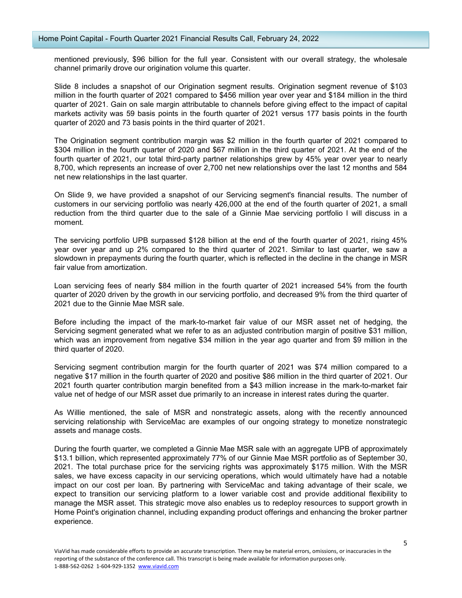mentioned previously, \$96 billion for the full year. Consistent with our overall strategy, the wholesale channel primarily drove our origination volume this quarter.

Slide 8 includes a snapshot of our Origination segment results. Origination segment revenue of \$103 million in the fourth quarter of 2021 compared to \$456 million year over year and \$184 million in the third quarter of 2021. Gain on sale margin attributable to channels before giving effect to the impact of capital markets activity was 59 basis points in the fourth quarter of 2021 versus 177 basis points in the fourth quarter of 2020 and 73 basis points in the third quarter of 2021.

The Origination segment contribution margin was \$2 million in the fourth quarter of 2021 compared to \$304 million in the fourth quarter of 2020 and \$67 million in the third quarter of 2021. At the end of the fourth quarter of 2021, our total third-party partner relationships grew by 45% year over year to nearly 8,700, which represents an increase of over 2,700 net new relationships over the last 12 months and 584 net new relationships in the last quarter.

On Slide 9, we have provided a snapshot of our Servicing segment's financial results. The number of customers in our servicing portfolio was nearly 426,000 at the end of the fourth quarter of 2021, a small reduction from the third quarter due to the sale of a Ginnie Mae servicing portfolio I will discuss in a moment.

The servicing portfolio UPB surpassed \$128 billion at the end of the fourth quarter of 2021, rising 45% year over year and up 2% compared to the third quarter of 2021. Similar to last quarter, we saw a slowdown in prepayments during the fourth quarter, which is reflected in the decline in the change in MSR fair value from amortization.

Loan servicing fees of nearly \$84 million in the fourth quarter of 2021 increased 54% from the fourth quarter of 2020 driven by the growth in our servicing portfolio, and decreased 9% from the third quarter of 2021 due to the Ginnie Mae MSR sale.

Before including the impact of the mark-to-market fair value of our MSR asset net of hedging, the Servicing segment generated what we refer to as an adjusted contribution margin of positive \$31 million, which was an improvement from negative \$34 million in the year ago quarter and from \$9 million in the third quarter of 2020.

Servicing segment contribution margin for the fourth quarter of 2021 was \$74 million compared to a negative \$17 million in the fourth quarter of 2020 and positive \$86 million in the third quarter of 2021. Our 2021 fourth quarter contribution margin benefited from a \$43 million increase in the mark-to-market fair value net of hedge of our MSR asset due primarily to an increase in interest rates during the quarter.

As Willie mentioned, the sale of MSR and nonstrategic assets, along with the recently announced servicing relationship with ServiceMac are examples of our ongoing strategy to monetize nonstrategic assets and manage costs.

During the fourth quarter, we completed a Ginnie Mae MSR sale with an aggregate UPB of approximately \$13.1 billion, which represented approximately 77% of our Ginnie Mae MSR portfolio as of September 30, 2021. The total purchase price for the servicing rights was approximately \$175 million. With the MSR sales, we have excess capacity in our servicing operations, which would ultimately have had a notable impact on our cost per loan. By partnering with ServiceMac and taking advantage of their scale, we expect to transition our servicing platform to a lower variable cost and provide additional flexibility to manage the MSR asset. This strategic move also enables us to redeploy resources to support growth in Home Point's origination channel, including expanding product offerings and enhancing the broker partner experience.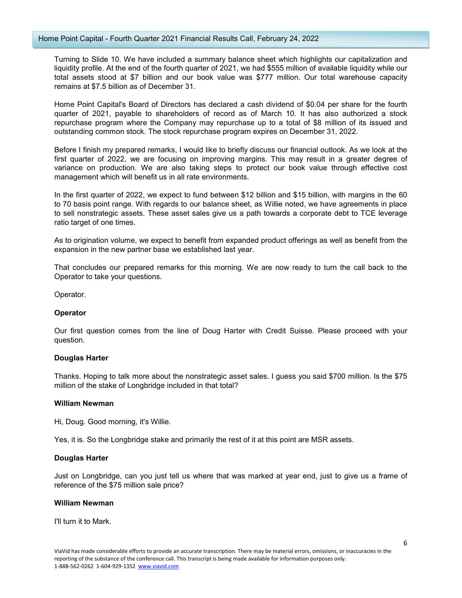Turning to Slide 10. We have included a summary balance sheet which highlights our capitalization and liquidity profile. At the end of the fourth quarter of 2021, we had \$555 million of available liquidity while our total assets stood at \$7 billion and our book value was \$777 million. Our total warehouse capacity remains at \$7.5 billion as of December 31.

Home Point Capital's Board of Directors has declared a cash dividend of \$0.04 per share for the fourth quarter of 2021, payable to shareholders of record as of March 10. It has also authorized a stock repurchase program where the Company may repurchase up to a total of \$8 million of its issued and outstanding common stock. The stock repurchase program expires on December 31, 2022.

Before I finish my prepared remarks, I would like to briefly discuss our financial outlook. As we look at the first quarter of 2022, we are focusing on improving margins. This may result in a greater degree of variance on production. We are also taking steps to protect our book value through effective cost management which will benefit us in all rate environments.

In the first quarter of 2022, we expect to fund between \$12 billion and \$15 billion, with margins in the 60 to 70 basis point range. With regards to our balance sheet, as Willie noted, we have agreements in place to sell nonstrategic assets. These asset sales give us a path towards a corporate debt to TCE leverage ratio target of one times.

As to origination volume, we expect to benefit from expanded product offerings as well as benefit from the expansion in the new partner base we established last year.

That concludes our prepared remarks for this morning. We are now ready to turn the call back to the Operator to take your questions.

Operator.

# **Operator**

Our first question comes from the line of Doug Harter with Credit Suisse. Please proceed with your question.

# **Douglas Harter**

Thanks. Hoping to talk more about the nonstrategic asset sales. I guess you said \$700 million. Is the \$75 million of the stake of Longbridge included in that total?

# **William Newman**

Hi, Doug. Good morning, it's Willie.

Yes, it is. So the Longbridge stake and primarily the rest of it at this point are MSR assets.

# **Douglas Harter**

Just on Longbridge, can you just tell us where that was marked at year end, just to give us a frame of reference of the \$75 million sale price?

## **William Newman**

I'll turn it to Mark.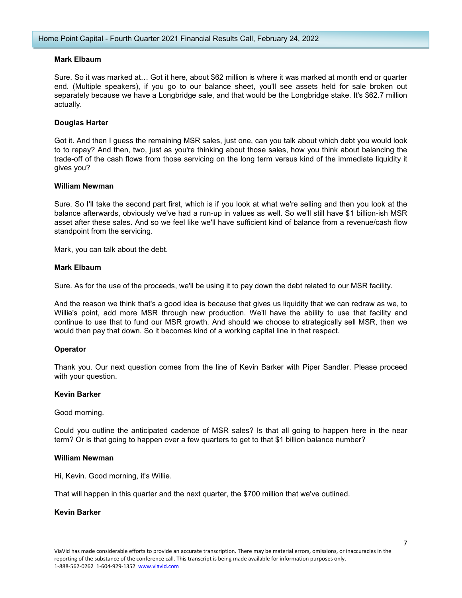# **Mark Elbaum**

Sure. So it was marked at… Got it here, about \$62 million is where it was marked at month end or quarter end. (Multiple speakers), if you go to our balance sheet, you'll see assets held for sale broken out separately because we have a Longbridge sale, and that would be the Longbridge stake. It's \$62.7 million actually.

# **Douglas Harter**

Got it. And then I guess the remaining MSR sales, just one, can you talk about which debt you would look to to repay? And then, two, just as you're thinking about those sales, how you think about balancing the trade-off of the cash flows from those servicing on the long term versus kind of the immediate liquidity it gives you?

## **William Newman**

Sure. So I'll take the second part first, which is if you look at what we're selling and then you look at the balance afterwards, obviously we've had a run-up in values as well. So we'll still have \$1 billion-ish MSR asset after these sales. And so we feel like we'll have sufficient kind of balance from a revenue/cash flow standpoint from the servicing.

Mark, you can talk about the debt.

# **Mark Elbaum**

Sure. As for the use of the proceeds, we'll be using it to pay down the debt related to our MSR facility.

And the reason we think that's a good idea is because that gives us liquidity that we can redraw as we, to Willie's point, add more MSR through new production. We'll have the ability to use that facility and continue to use that to fund our MSR growth. And should we choose to strategically sell MSR, then we would then pay that down. So it becomes kind of a working capital line in that respect.

# **Operator**

Thank you. Our next question comes from the line of Kevin Barker with Piper Sandler. Please proceed with your question.

# **Kevin Barker**

Good morning.

Could you outline the anticipated cadence of MSR sales? Is that all going to happen here in the near term? Or is that going to happen over a few quarters to get to that \$1 billion balance number?

#### **William Newman**

Hi, Kevin. Good morning, it's Willie.

That will happen in this quarter and the next quarter, the \$700 million that we've outlined.

# **Kevin Barker**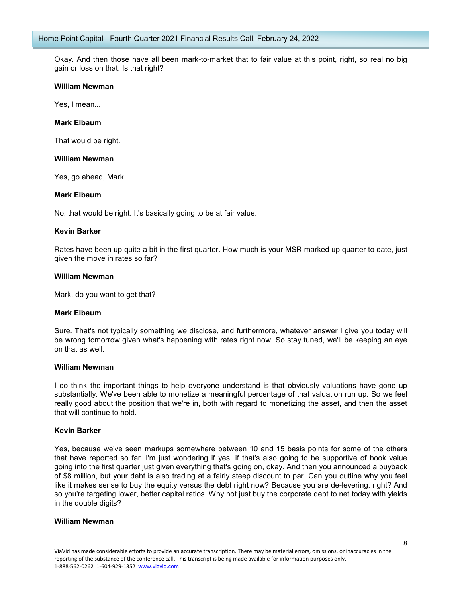Okay. And then those have all been mark-to-market that to fair value at this point, right, so real no big gain or loss on that. Is that right?

#### **William Newman**

Yes, I mean...

#### **Mark Elbaum**

That would be right.

#### **William Newman**

Yes, go ahead, Mark.

# **Mark Elbaum**

No, that would be right. It's basically going to be at fair value.

#### **Kevin Barker**

Rates have been up quite a bit in the first quarter. How much is your MSR marked up quarter to date, just given the move in rates so far?

#### **William Newman**

Mark, do you want to get that?

#### **Mark Elbaum**

Sure. That's not typically something we disclose, and furthermore, whatever answer I give you today will be wrong tomorrow given what's happening with rates right now. So stay tuned, we'll be keeping an eye on that as well.

#### **William Newman**

I do think the important things to help everyone understand is that obviously valuations have gone up substantially. We've been able to monetize a meaningful percentage of that valuation run up. So we feel really good about the position that we're in, both with regard to monetizing the asset, and then the asset that will continue to hold.

#### **Kevin Barker**

Yes, because we've seen markups somewhere between 10 and 15 basis points for some of the others that have reported so far. I'm just wondering if yes, if that's also going to be supportive of book value going into the first quarter just given everything that's going on, okay. And then you announced a buyback of \$8 million, but your debt is also trading at a fairly steep discount to par. Can you outline why you feel like it makes sense to buy the equity versus the debt right now? Because you are de-levering, right? And so you're targeting lower, better capital ratios. Why not just buy the corporate debt to net today with yields in the double digits?

## **William Newman**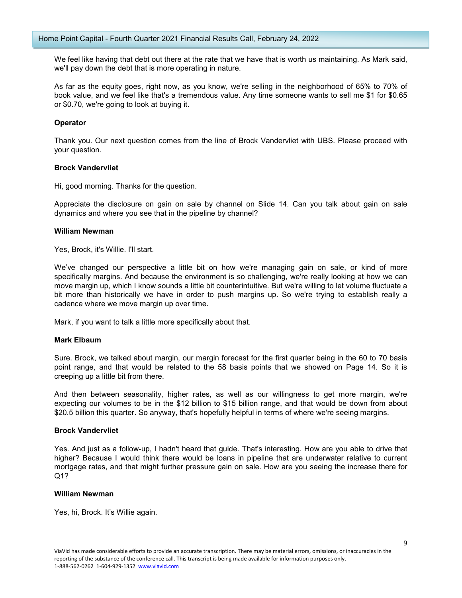We feel like having that debt out there at the rate that we have that is worth us maintaining. As Mark said, we'll pay down the debt that is more operating in nature.

As far as the equity goes, right now, as you know, we're selling in the neighborhood of 65% to 70% of book value, and we feel like that's a tremendous value. Any time someone wants to sell me \$1 for \$0.65 or \$0.70, we're going to look at buying it.

## **Operator**

Thank you. Our next question comes from the line of Brock Vandervliet with UBS. Please proceed with your question.

#### **Brock Vandervliet**

Hi, good morning. Thanks for the question.

Appreciate the disclosure on gain on sale by channel on Slide 14. Can you talk about gain on sale dynamics and where you see that in the pipeline by channel?

#### **William Newman**

Yes, Brock, it's Willie. I'll start.

We've changed our perspective a little bit on how we're managing gain on sale, or kind of more specifically margins. And because the environment is so challenging, we're really looking at how we can move margin up, which I know sounds a little bit counterintuitive. But we're willing to let volume fluctuate a bit more than historically we have in order to push margins up. So we're trying to establish really a cadence where we move margin up over time.

Mark, if you want to talk a little more specifically about that.

#### **Mark Elbaum**

Sure. Brock, we talked about margin, our margin forecast for the first quarter being in the 60 to 70 basis point range, and that would be related to the 58 basis points that we showed on Page 14. So it is creeping up a little bit from there.

And then between seasonality, higher rates, as well as our willingness to get more margin, we're expecting our volumes to be in the \$12 billion to \$15 billion range, and that would be down from about \$20.5 billion this quarter. So anyway, that's hopefully helpful in terms of where we're seeing margins.

#### **Brock Vandervliet**

Yes. And just as a follow-up, I hadn't heard that guide. That's interesting. How are you able to drive that higher? Because I would think there would be loans in pipeline that are underwater relative to current mortgage rates, and that might further pressure gain on sale. How are you seeing the increase there for Q1?

## **William Newman**

Yes, hi, Brock. It's Willie again.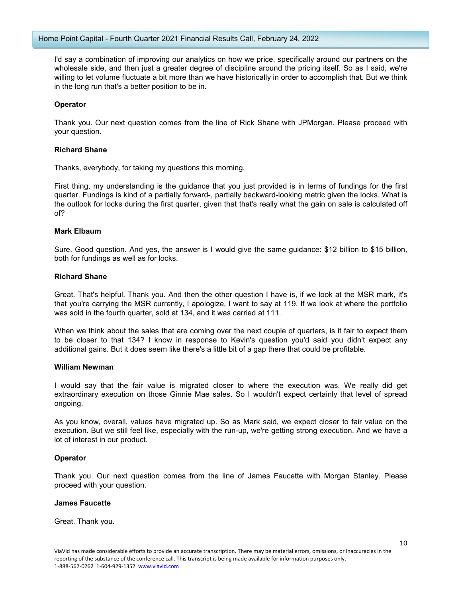I'd say a combination of improving our analytics on how we price, specifically around our partners on the wholesale side, and then just a greater degree of discipline around the pricing itself. So as I said, we're willing to let volume fluctuate a bit more than we have historically in order to accomplish that. But we think in the long run that's a better position to be in.

# **Operator**

Thank you. Our next question comes from the line of Rick Shane with JPMorgan. Please proceed with your question.

# **Richard Shane**

Thanks, everybody, for taking my questions this morning.

First thing, my understanding is the guidance that you just provided is in terms of fundings for the first quarter. Fundings is kind of a partially forward-, partially backward-looking metric given the locks. What is the outlook for locks during the first quarter, given that that's really what the gain on sale is calculated off of?

## **Mark Elbaum**

Sure. Good question. And yes, the answer is I would give the same guidance: \$12 billion to \$15 billion, both for fundings as well as for locks.

## **Richard Shane**

Great. That's helpful. Thank you. And then the other question I have is, if we look at the MSR mark, it's that you're carrying the MSR currently, I apologize, I want to say at 119. If we look at where the portfolio was sold in the fourth quarter, sold at 134, and it was carried at 111.

When we think about the sales that are coming over the next couple of quarters, is it fair to expect them to be closer to that 134? I know in response to Kevin's question you'd said you didn't expect any additional gains. But it does seem like there's a little bit of a gap there that could be profitable.

#### **William Newman**

I would say that the fair value is migrated closer to where the execution was. We really did get extraordinary execution on those Ginnie Mae sales. So I wouldn't expect certainly that level of spread ongoing.

As you know, overall, values have migrated up. So as Mark said, we expect closer to fair value on the execution. But we still feel like, especially with the run-up, we're getting strong execution. And we have a lot of interest in our product.

# **Operator**

Thank you. Our next question comes from the line of James Faucette with Morgan Stanley. Please proceed with your question.

#### **James Faucette**

Great. Thank you.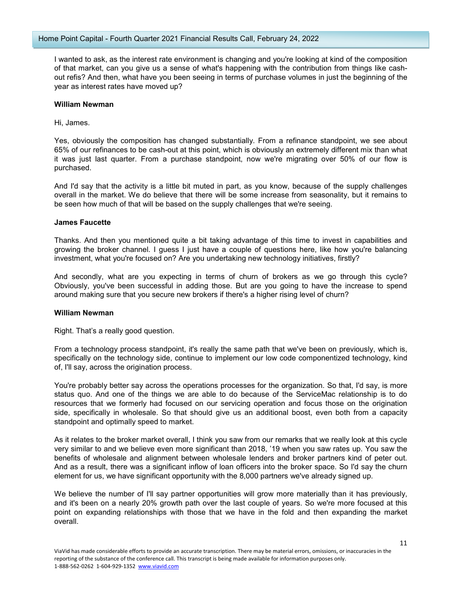I wanted to ask, as the interest rate environment is changing and you're looking at kind of the composition of that market, can you give us a sense of what's happening with the contribution from things like cashout refis? And then, what have you been seeing in terms of purchase volumes in just the beginning of the year as interest rates have moved up?

## **William Newman**

Hi, James.

Yes, obviously the composition has changed substantially. From a refinance standpoint, we see about 65% of our refinances to be cash-out at this point, which is obviously an extremely different mix than what it was just last quarter. From a purchase standpoint, now we're migrating over 50% of our flow is purchased.

And I'd say that the activity is a little bit muted in part, as you know, because of the supply challenges overall in the market. We do believe that there will be some increase from seasonality, but it remains to be seen how much of that will be based on the supply challenges that we're seeing.

## **James Faucette**

Thanks. And then you mentioned quite a bit taking advantage of this time to invest in capabilities and growing the broker channel. I guess I just have a couple of questions here, like how you're balancing investment, what you're focused on? Are you undertaking new technology initiatives, firstly?

And secondly, what are you expecting in terms of churn of brokers as we go through this cycle? Obviously, you've been successful in adding those. But are you going to have the increase to spend around making sure that you secure new brokers if there's a higher rising level of churn?

#### **William Newman**

Right. That's a really good question.

From a technology process standpoint, it's really the same path that we've been on previously, which is, specifically on the technology side, continue to implement our low code componentized technology, kind of, I'll say, across the origination process.

You're probably better say across the operations processes for the organization. So that, I'd say, is more status quo. And one of the things we are able to do because of the ServiceMac relationship is to do resources that we formerly had focused on our servicing operation and focus those on the origination side, specifically in wholesale. So that should give us an additional boost, even both from a capacity standpoint and optimally speed to market.

As it relates to the broker market overall, I think you saw from our remarks that we really look at this cycle very similar to and we believe even more significant than 2018, '19 when you saw rates up. You saw the benefits of wholesale and alignment between wholesale lenders and broker partners kind of peter out. And as a result, there was a significant inflow of loan officers into the broker space. So I'd say the churn element for us, we have significant opportunity with the 8,000 partners we've already signed up.

We believe the number of I'll say partner opportunities will grow more materially than it has previously, and it's been on a nearly 20% growth path over the last couple of years. So we're more focused at this point on expanding relationships with those that we have in the fold and then expanding the market overall.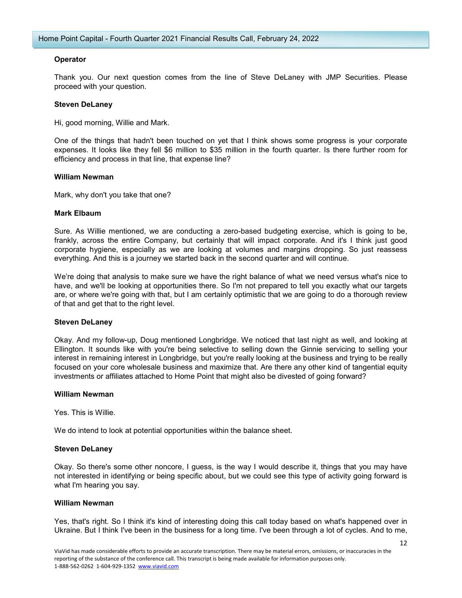# **Operator**

Thank you. Our next question comes from the line of Steve DeLaney with JMP Securities. Please proceed with your question.

## **Steven DeLaney**

Hi, good morning, Willie and Mark.

One of the things that hadn't been touched on yet that I think shows some progress is your corporate expenses. It looks like they fell \$6 million to \$35 million in the fourth quarter. Is there further room for efficiency and process in that line, that expense line?

## **William Newman**

Mark, why don't you take that one?

## **Mark Elbaum**

Sure. As Willie mentioned, we are conducting a zero-based budgeting exercise, which is going to be, frankly, across the entire Company, but certainly that will impact corporate. And it's I think just good corporate hygiene, especially as we are looking at volumes and margins dropping. So just reassess everything. And this is a journey we started back in the second quarter and will continue.

We're doing that analysis to make sure we have the right balance of what we need versus what's nice to have, and we'll be looking at opportunities there. So I'm not prepared to tell you exactly what our targets are, or where we're going with that, but I am certainly optimistic that we are going to do a thorough review of that and get that to the right level.

# **Steven DeLaney**

Okay. And my follow-up, Doug mentioned Longbridge. We noticed that last night as well, and looking at Ellington. It sounds like with you're being selective to selling down the Ginnie servicing to selling your interest in remaining interest in Longbridge, but you're really looking at the business and trying to be really focused on your core wholesale business and maximize that. Are there any other kind of tangential equity investments or affiliates attached to Home Point that might also be divested of going forward?

#### **William Newman**

Yes. This is Willie.

We do intend to look at potential opportunities within the balance sheet.

# **Steven DeLaney**

Okay. So there's some other noncore, I guess, is the way I would describe it, things that you may have not interested in identifying or being specific about, but we could see this type of activity going forward is what I'm hearing you say.

#### **William Newman**

Yes, that's right. So I think it's kind of interesting doing this call today based on what's happened over in Ukraine. But I think I've been in the business for a long time. I've been through a lot of cycles. And to me,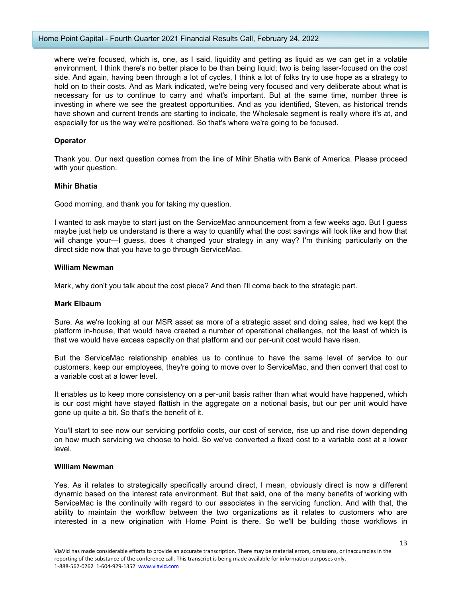where we're focused, which is, one, as I said, liquidity and getting as liquid as we can get in a volatile environment. I think there's no better place to be than being liquid; two is being laser-focused on the cost side. And again, having been through a lot of cycles, I think a lot of folks try to use hope as a strategy to hold on to their costs. And as Mark indicated, we're being very focused and very deliberate about what is necessary for us to continue to carry and what's important. But at the same time, number three is investing in where we see the greatest opportunities. And as you identified, Steven, as historical trends have shown and current trends are starting to indicate, the Wholesale segment is really where it's at, and especially for us the way we're positioned. So that's where we're going to be focused.

# **Operator**

Thank you. Our next question comes from the line of Mihir Bhatia with Bank of America. Please proceed with your question.

# **Mihir Bhatia**

Good morning, and thank you for taking my question.

I wanted to ask maybe to start just on the ServiceMac announcement from a few weeks ago. But I guess maybe just help us understand is there a way to quantify what the cost savings will look like and how that will change your—I guess, does it changed your strategy in any way? I'm thinking particularly on the direct side now that you have to go through ServiceMac.

# **William Newman**

Mark, why don't you talk about the cost piece? And then I'll come back to the strategic part.

# **Mark Elbaum**

Sure. As we're looking at our MSR asset as more of a strategic asset and doing sales, had we kept the platform in-house, that would have created a number of operational challenges, not the least of which is that we would have excess capacity on that platform and our per-unit cost would have risen.

But the ServiceMac relationship enables us to continue to have the same level of service to our customers, keep our employees, they're going to move over to ServiceMac, and then convert that cost to a variable cost at a lower level.

It enables us to keep more consistency on a per-unit basis rather than what would have happened, which is our cost might have stayed flattish in the aggregate on a notional basis, but our per unit would have gone up quite a bit. So that's the benefit of it.

You'll start to see now our servicing portfolio costs, our cost of service, rise up and rise down depending on how much servicing we choose to hold. So we've converted a fixed cost to a variable cost at a lower level.

# **William Newman**

Yes. As it relates to strategically specifically around direct, I mean, obviously direct is now a different dynamic based on the interest rate environment. But that said, one of the many benefits of working with ServiceMac is the continuity with regard to our associates in the servicing function. And with that, the ability to maintain the workflow between the two organizations as it relates to customers who are interested in a new origination with Home Point is there. So we'll be building those workflows in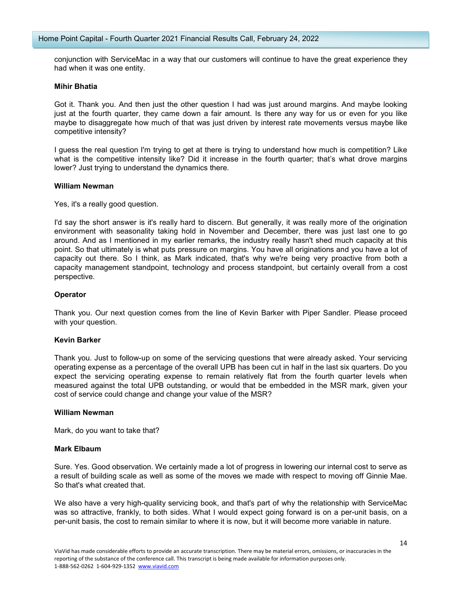conjunction with ServiceMac in a way that our customers will continue to have the great experience they had when it was one entity.

#### **Mihir Bhatia**

Got it. Thank you. And then just the other question I had was just around margins. And maybe looking just at the fourth quarter, they came down a fair amount. Is there any way for us or even for you like maybe to disaggregate how much of that was just driven by interest rate movements versus maybe like competitive intensity?

I guess the real question I'm trying to get at there is trying to understand how much is competition? Like what is the competitive intensity like? Did it increase in the fourth quarter; that's what drove margins lower? Just trying to understand the dynamics there.

## **William Newman**

Yes, it's a really good question.

I'd say the short answer is it's really hard to discern. But generally, it was really more of the origination environment with seasonality taking hold in November and December, there was just last one to go around. And as I mentioned in my earlier remarks, the industry really hasn't shed much capacity at this point. So that ultimately is what puts pressure on margins. You have all originations and you have a lot of capacity out there. So I think, as Mark indicated, that's why we're being very proactive from both a capacity management standpoint, technology and process standpoint, but certainly overall from a cost perspective.

# **Operator**

Thank you. Our next question comes from the line of Kevin Barker with Piper Sandler. Please proceed with your question.

# **Kevin Barker**

Thank you. Just to follow-up on some of the servicing questions that were already asked. Your servicing operating expense as a percentage of the overall UPB has been cut in half in the last six quarters. Do you expect the servicing operating expense to remain relatively flat from the fourth quarter levels when measured against the total UPB outstanding, or would that be embedded in the MSR mark, given your cost of service could change and change your value of the MSR?

#### **William Newman**

Mark, do you want to take that?

# **Mark Elbaum**

Sure. Yes. Good observation. We certainly made a lot of progress in lowering our internal cost to serve as a result of building scale as well as some of the moves we made with respect to moving off Ginnie Mae. So that's what created that.

We also have a very high-quality servicing book, and that's part of why the relationship with ServiceMac was so attractive, frankly, to both sides. What I would expect going forward is on a per-unit basis, on a per-unit basis, the cost to remain similar to where it is now, but it will become more variable in nature.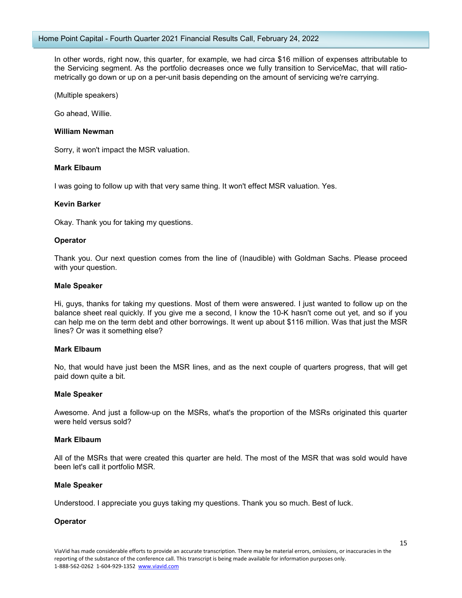In other words, right now, this quarter, for example, we had circa \$16 million of expenses attributable to the Servicing segment. As the portfolio decreases once we fully transition to ServiceMac, that will ratiometrically go down or up on a per-unit basis depending on the amount of servicing we're carrying.

(Multiple speakers)

Go ahead, Willie.

## **William Newman**

Sorry, it won't impact the MSR valuation.

## **Mark Elbaum**

I was going to follow up with that very same thing. It won't effect MSR valuation. Yes.

## **Kevin Barker**

Okay. Thank you for taking my questions.

## **Operator**

Thank you. Our next question comes from the line of (Inaudible) with Goldman Sachs. Please proceed with your question.

#### **Male Speaker**

Hi, guys, thanks for taking my questions. Most of them were answered. I just wanted to follow up on the balance sheet real quickly. If you give me a second, I know the 10-K hasn't come out yet, and so if you can help me on the term debt and other borrowings. It went up about \$116 million. Was that just the MSR lines? Or was it something else?

#### **Mark Elbaum**

No, that would have just been the MSR lines, and as the next couple of quarters progress, that will get paid down quite a bit.

#### **Male Speaker**

Awesome. And just a follow-up on the MSRs, what's the proportion of the MSRs originated this quarter were held versus sold?

#### **Mark Elbaum**

All of the MSRs that were created this quarter are held. The most of the MSR that was sold would have been let's call it portfolio MSR.

#### **Male Speaker**

Understood. I appreciate you guys taking my questions. Thank you so much. Best of luck.

# **Operator**